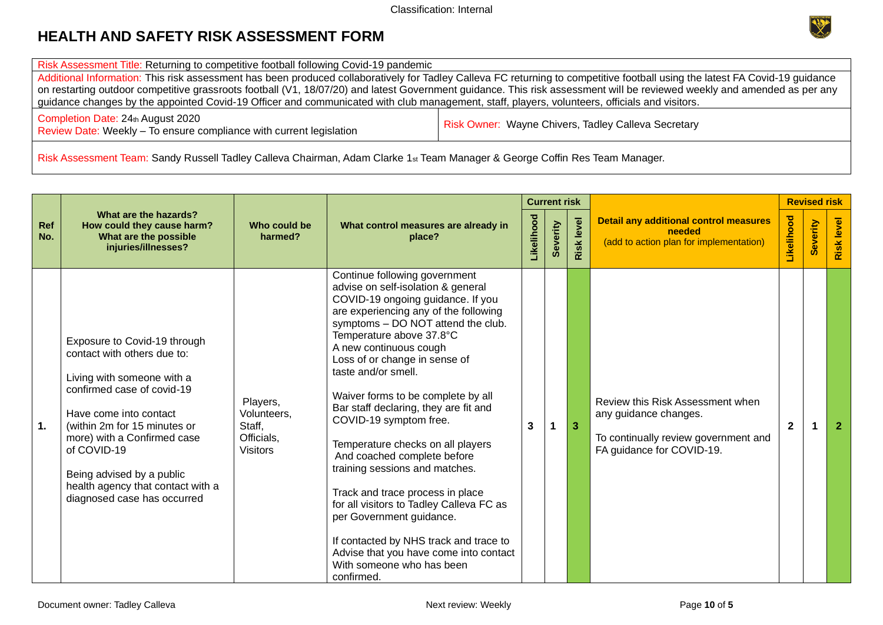Risk Assessment Title: Returning to competitive football following Covid-19 pandemic

Additional Information: This risk assessment has been produced collaboratively for Tadley Calleva FC returning to competitive football using the latest FA Covid-19 guidance on restarting outdoor competitive grassroots football (V1, 18/07/20) and latest Government guidance. This risk assessment will be reviewed weekly and amended as per any guidance changes by the appointed Covid-19 Officer and communicated with club management, staff, players, volunteers, officials and visitors.

Completion Date: 24th August 2020 Completion Date: 24th August 2020<br>Review Date: Weekly – To ensure compliance with current legislation Risk Owner: Wayne Chivers, Tadley Calleva Secretary

Risk Assessment Team: Sandy Russell Tadley Calleva Chairman, Adam Clarke 1st Team Manager & George Coffin Res Team Manager.

|                |                                                                                                                                                                                                                                                                                                                                  |                                                                    |                                                                                                                                                                                                                                                                                                                                                                                                                                                                                                                                                                                                                                                                                                                                                                 | <b>Current risk</b> |          |                   |                                                                                                                                |              | <b>Revised risk</b> |                   |
|----------------|----------------------------------------------------------------------------------------------------------------------------------------------------------------------------------------------------------------------------------------------------------------------------------------------------------------------------------|--------------------------------------------------------------------|-----------------------------------------------------------------------------------------------------------------------------------------------------------------------------------------------------------------------------------------------------------------------------------------------------------------------------------------------------------------------------------------------------------------------------------------------------------------------------------------------------------------------------------------------------------------------------------------------------------------------------------------------------------------------------------------------------------------------------------------------------------------|---------------------|----------|-------------------|--------------------------------------------------------------------------------------------------------------------------------|--------------|---------------------|-------------------|
| Ref<br>No.     | What are the hazards?<br>How could they cause harm?<br>What are the possible<br>injuries/illnesses?                                                                                                                                                                                                                              | Who could be<br>harmed?                                            | What control measures are already in<br>place?                                                                                                                                                                                                                                                                                                                                                                                                                                                                                                                                                                                                                                                                                                                  |                     | Severity | <b>Risk level</b> | Likelihood<br><b>Detail any additional control measures</b><br>needed<br>(add to action plan for implementation)               |              | Severity            | <b>Risk level</b> |
| $\mathbf{1}$ . | Exposure to Covid-19 through<br>contact with others due to:<br>Living with someone with a<br>confirmed case of covid-19<br>Have come into contact<br>(within 2m for 15 minutes or<br>more) with a Confirmed case<br>of COVID-19<br>Being advised by a public<br>health agency that contact with a<br>diagnosed case has occurred | Players,<br>Volunteers,<br>Staff,<br>Officials,<br><b>Visitors</b> | Continue following government<br>advise on self-isolation & general<br>COVID-19 ongoing guidance. If you<br>are experiencing any of the following<br>symptoms - DO NOT attend the club.<br>Temperature above 37.8°C<br>A new continuous cough<br>Loss of or change in sense of<br>taste and/or smell.<br>Waiver forms to be complete by all<br>Bar staff declaring, they are fit and<br>COVID-19 symptom free.<br>Temperature checks on all players<br>And coached complete before<br>training sessions and matches.<br>Track and trace process in place<br>for all visitors to Tadley Calleva FC as<br>per Government guidance.<br>If contacted by NHS track and trace to<br>Advise that you have come into contact<br>With someone who has been<br>confirmed. | 3                   |          | 3                 | Review this Risk Assessment when<br>any guidance changes.<br>To continually review government and<br>FA guidance for COVID-19. | $\mathbf{2}$ |                     | $\overline{2}$    |

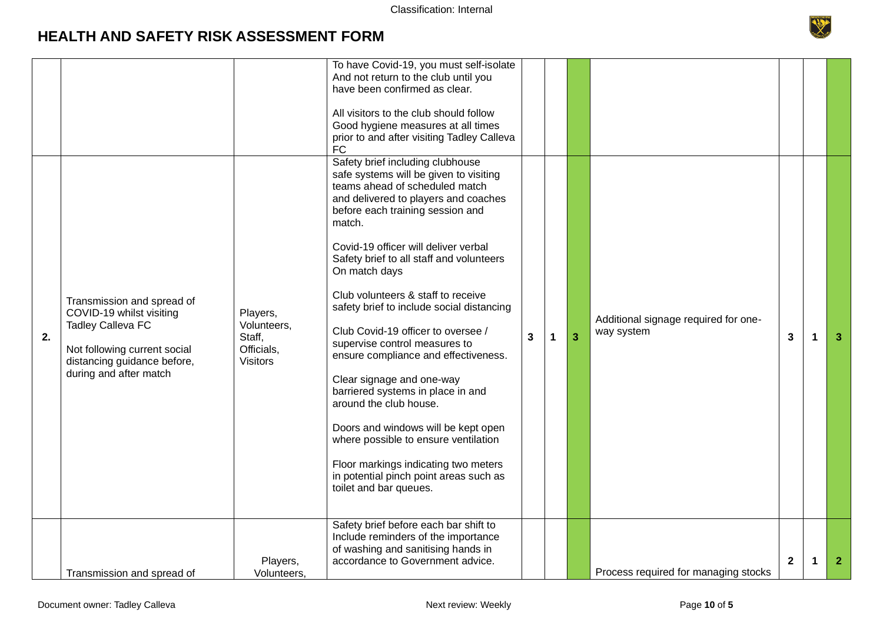

|    |                                                                                                                                                                             |                                                                    | To have Covid-19, you must self-isolate<br>And not return to the club until you<br>have been confirmed as clear.                                                                                                                                                                                                                                                                                                                                                                                                                                                                                                                                                                                                                                                                                 |   |   |                |                                                    |                         |   |                |
|----|-----------------------------------------------------------------------------------------------------------------------------------------------------------------------------|--------------------------------------------------------------------|--------------------------------------------------------------------------------------------------------------------------------------------------------------------------------------------------------------------------------------------------------------------------------------------------------------------------------------------------------------------------------------------------------------------------------------------------------------------------------------------------------------------------------------------------------------------------------------------------------------------------------------------------------------------------------------------------------------------------------------------------------------------------------------------------|---|---|----------------|----------------------------------------------------|-------------------------|---|----------------|
|    |                                                                                                                                                                             |                                                                    | All visitors to the club should follow<br>Good hygiene measures at all times<br>prior to and after visiting Tadley Calleva<br><b>FC</b>                                                                                                                                                                                                                                                                                                                                                                                                                                                                                                                                                                                                                                                          |   |   |                |                                                    |                         |   |                |
| 2. | Transmission and spread of<br>COVID-19 whilst visiting<br><b>Tadley Calleva FC</b><br>Not following current social<br>distancing guidance before,<br>during and after match | Players,<br>Volunteers,<br>Staff,<br>Officials,<br><b>Visitors</b> | Safety brief including clubhouse<br>safe systems will be given to visiting<br>teams ahead of scheduled match<br>and delivered to players and coaches<br>before each training session and<br>match.<br>Covid-19 officer will deliver verbal<br>Safety brief to all staff and volunteers<br>On match days<br>Club volunteers & staff to receive<br>safety brief to include social distancing<br>Club Covid-19 officer to oversee /<br>supervise control measures to<br>ensure compliance and effectiveness.<br>Clear signage and one-way<br>barriered systems in place in and<br>around the club house.<br>Doors and windows will be kept open<br>where possible to ensure ventilation<br>Floor markings indicating two meters<br>in potential pinch point areas such as<br>toilet and bar queues. | 3 | 1 | $\overline{3}$ | Additional signage required for one-<br>way system | 3                       | 1 | 3              |
|    | Transmission and spread of                                                                                                                                                  | Players,<br>Volunteers,                                            | Safety brief before each bar shift to<br>Include reminders of the importance<br>of washing and sanitising hands in<br>accordance to Government advice.                                                                                                                                                                                                                                                                                                                                                                                                                                                                                                                                                                                                                                           |   |   |                | Process required for managing stocks               | $\overline{\mathbf{2}}$ |   | $\overline{2}$ |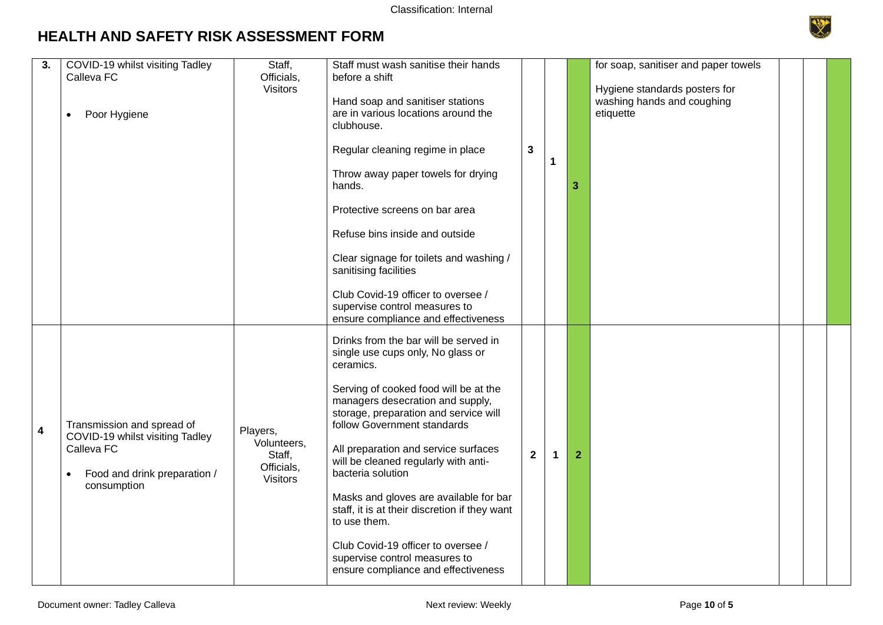

| 3. | COVID-19 whilst visiting Tadley<br>Calleva FC<br>Poor Hygiene<br>$\bullet$                                                 | Staff,<br>Officials,<br><b>Visitors</b>                            | Staff must wash sanitise their hands<br>before a shift<br>Hand soap and sanitiser stations<br>are in various locations around the<br>clubhouse.<br>Regular cleaning regime in place<br>Throw away paper towels for drying<br>hands.<br>Protective screens on bar area<br>Refuse bins inside and outside<br>Clear signage for toilets and washing /<br>sanitising facilities<br>Club Covid-19 officer to oversee /<br>supervise control measures to<br>ensure compliance and effectiveness                                                                                  | $\mathbf{3}$ | 1 | 3            | for soap, sanitiser and paper towels<br>Hygiene standards posters for<br>washing hands and coughing<br>etiquette |  |  |
|----|----------------------------------------------------------------------------------------------------------------------------|--------------------------------------------------------------------|----------------------------------------------------------------------------------------------------------------------------------------------------------------------------------------------------------------------------------------------------------------------------------------------------------------------------------------------------------------------------------------------------------------------------------------------------------------------------------------------------------------------------------------------------------------------------|--------------|---|--------------|------------------------------------------------------------------------------------------------------------------|--|--|
| 4  | Transmission and spread of<br>COVID-19 whilst visiting Tadley<br>Calleva FC<br>Food and drink preparation /<br>consumption | Players,<br>Volunteers,<br>Staff,<br>Officials,<br><b>Visitors</b> | Drinks from the bar will be served in<br>single use cups only, No glass or<br>ceramics.<br>Serving of cooked food will be at the<br>managers desecration and supply,<br>storage, preparation and service will<br>follow Government standards<br>All preparation and service surfaces<br>will be cleaned regularly with anti-<br>bacteria solution<br>Masks and gloves are available for bar<br>staff, it is at their discretion if they want<br>to use them.<br>Club Covid-19 officer to oversee /<br>supervise control measures to<br>ensure compliance and effectiveness | $\mathbf{2}$ | 1 | $\mathbf{2}$ |                                                                                                                  |  |  |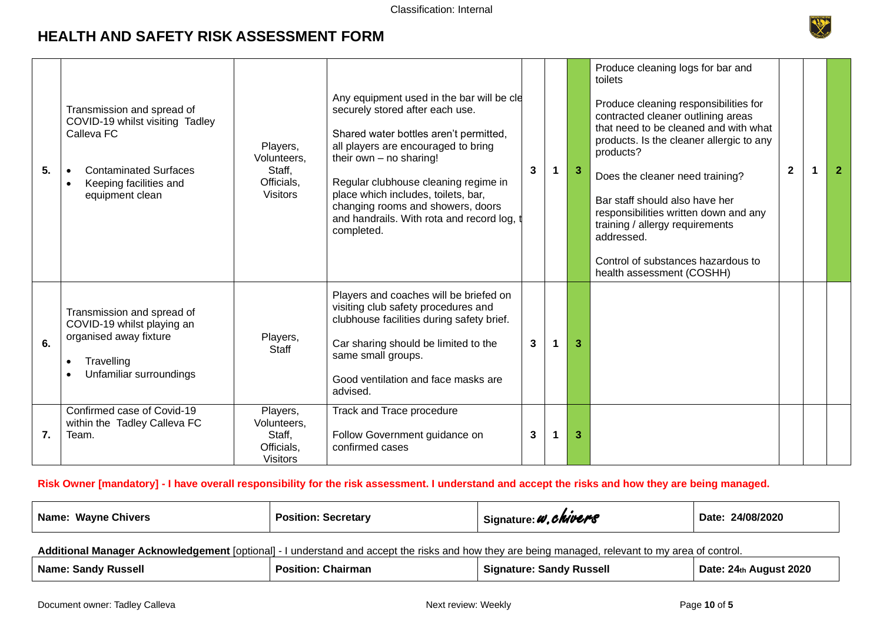

| 5. | Transmission and spread of<br>COVID-19 whilst visiting Tadley<br>Calleva FC<br><b>Contaminated Surfaces</b><br>Keeping facilities and<br>equipment clean | Players,<br>Volunteers,<br>Staff,<br>Officials,<br><b>Visitors</b> | Any equipment used in the bar will be cle<br>securely stored after each use.<br>Shared water bottles aren't permitted,<br>all players are encouraged to bring<br>their own $-$ no sharing!<br>Regular clubhouse cleaning regime in<br>place which includes, toilets, bar,<br>changing rooms and showers, doors<br>and handrails. With rota and record log,<br>completed. | 3 | -3 | Produce cleaning logs for bar and<br>toilets<br>Produce cleaning responsibilities for<br>contracted cleaner outlining areas<br>that need to be cleaned and with what<br>products. Is the cleaner allergic to any<br>products?<br>Does the cleaner need training?<br>Bar staff should also have her<br>responsibilities written down and any<br>training / allergy requirements<br>addressed.<br>Control of substances hazardous to<br>health assessment (COSHH) | $\mathbf{2}$ | $\overline{2}$ |
|----|----------------------------------------------------------------------------------------------------------------------------------------------------------|--------------------------------------------------------------------|--------------------------------------------------------------------------------------------------------------------------------------------------------------------------------------------------------------------------------------------------------------------------------------------------------------------------------------------------------------------------|---|----|-----------------------------------------------------------------------------------------------------------------------------------------------------------------------------------------------------------------------------------------------------------------------------------------------------------------------------------------------------------------------------------------------------------------------------------------------------------------|--------------|----------------|
| 6. | Transmission and spread of<br>COVID-19 whilst playing an<br>organised away fixture<br>Travelling<br>Unfamiliar surroundings                              | Players,<br>Staff                                                  | Players and coaches will be briefed on<br>visiting club safety procedures and<br>clubhouse facilities during safety brief.<br>Car sharing should be limited to the<br>same small groups.<br>Good ventilation and face masks are<br>advised.                                                                                                                              | 3 | 3  |                                                                                                                                                                                                                                                                                                                                                                                                                                                                 |              |                |
| 7. | Confirmed case of Covid-19<br>within the Tadley Calleva FC<br>Team.                                                                                      | Players,<br>Volunteers,<br>Staff,<br>Officials,<br><b>Visitors</b> | Track and Trace procedure<br>Follow Government guidance on<br>confirmed cases                                                                                                                                                                                                                                                                                            | 3 | 3  |                                                                                                                                                                                                                                                                                                                                                                                                                                                                 |              |                |

#### **Risk Owner [mandatory] - I have overall responsibility for the risk assessment. I understand and accept the risks and how they are being managed.**

| Name: Wayne Chivers | <b>Secretary</b><br>Position: | Signature: W. Chwers | 24/08/2020<br>Date: |
|---------------------|-------------------------------|----------------------|---------------------|
|                     |                               |                      |                     |

**Additional Manager Acknowledgement** [optional] - I understand and accept the risks and how they are being managed, relevant to my area of control.

| Name <sup>.</sup><br><b>Russell</b><br>Sandv | rman<br>osition<br>narن | Russell<br>sandv<br>чашк | 2020<br>Date:<br><b>77.</b> |  |
|----------------------------------------------|-------------------------|--------------------------|-----------------------------|--|
|----------------------------------------------|-------------------------|--------------------------|-----------------------------|--|